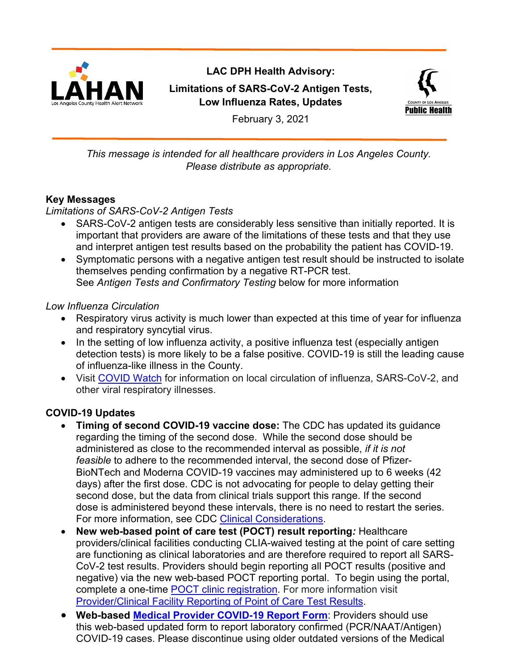

# **LAC DPH Health Advisory: Limitations of SARS-CoV-2 Antigen Tests, Low Influenza Rates, Updates**



February 3, 2021

*This message is intended for all healthcare providers in Los Angeles County. Please distribute as appropriate.*

# **Key Messages**

*Limitations of SARS-CoV-2 Antigen Tests*

- SARS-CoV-2 antigen tests are considerably less sensitive than initially reported. It is important that providers are aware of the limitations of these tests and that they use and interpret antigen test results based on the probability the patient has COVID-19.
- Symptomatic persons with a negative antigen test result should be instructed to isolate themselves pending confirmation by a negative RT-PCR test. See *Antigen Tests and Confirmatory Testing* below for more information

### *Low Influenza Circulation*

- Respiratory virus activity is much lower than expected at this time of year for influenza and respiratory syncytial virus.
- In the setting of low influenza activity, a positive influenza test (especially antigen detection tests) is more likely to be a false positive. COVID-19 is still the leading cause of influenza-like illness in the County.
- Visit [COVID Watch](http://publichealth.lacounty.gov/acd/ncorona2019/covidwatch/) for information on local circulation of influenza, SARS-CoV-2, and other viral respiratory illnesses.

### **COVID-19 Updates**

- **Timing of second COVID-19 vaccine dose:** The CDC has updated its guidance regarding the timing of the second dose. While the second dose should be administered as close to the recommended interval as possible, *if it is not feasible* to adhere to the recommended interval, the second dose of Pfizer-BioNTech and Moderna COVID-19 vaccines may administered up to 6 weeks (42 days) after the first dose. CDC is not advocating for people to delay getting their second dose, but the data from clinical trials support this range. If the second dose is administered beyond these intervals, there is no need to restart the series. For more information, see CDC [Clinical Considerations.](https://www.cdc.gov/vaccines/covid-19/info-by-product/clinical-considerations.html)
- **New web-based point of care test (POCT) result reporting***:* Healthcare providers/clinical facilities conducting CLIA-waived testing at the point of care setting are functioning as clinical laboratories and are therefore required to report all SARS-CoV-2 test results. Providers should begin reporting all POCT results (positive and negative) via the new web-based POCT reporting portal. To begin using the portal, complete a one-time **POCT** clinic registration. For more information visit [Provider/Clinical Facility Reporting of Point of Care Test Results.](http://publichealth.lacounty.gov/acd/ncorona2019/reporting.htm#poct)
- **Web-based [Medical Provider COVID-19 Report Form](https://ladph.workflowcloud.com/forms/91840544-1198-4c2b-9625-d83d8413b211)**: Providers should use this web-based updated form to report laboratory confirmed (PCR/NAAT/Antigen) COVID-19 cases. Please discontinue using older outdated versions of the Medical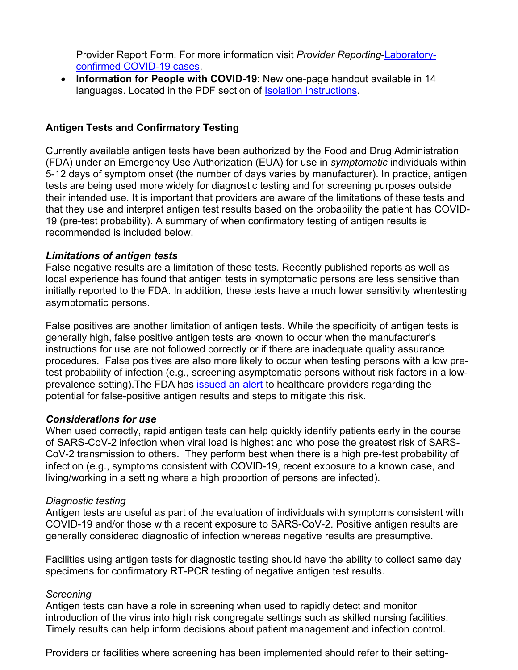Provider Report Form. For more information visit *Provider Reporting*[-Laboratory](http://publichealth.lacounty.gov/acd/ncorona2019/reporting.htm#confirmed)[confirmed COVID-19 cases.](http://publichealth.lacounty.gov/acd/ncorona2019/reporting.htm#confirmed)

• **Information for People with COVID-19**: New one-page handout available in 14 languages. Located in the PDF section of [Isolation Instructions.](http://publichealth.lacounty.gov/acd/ncorona2019/covidisolation/#pdfs)

### **Antigen Tests and Confirmatory Testing**

Currently available antigen tests have been authorized by the Food and Drug Administration (FDA) under an Emergency Use Authorization (EUA) for use in *symptomatic* individuals within 5-12 days of symptom onset (the number of days varies by manufacturer). In practice, antigen tests are being used more widely for diagnostic testing and for screening purposes outside their intended use. It is important that providers are aware of the limitations of these tests and that they use and interpret antigen test results based on the probability the patient has COVID-19 (pre-test probability). A summary of when confirmatory testing of antigen results is recommended is included below.

#### *Limitations of antigen tests*

False negative results are a limitation of these tests. Recently published reports as well as local experience has found that antigen tests in symptomatic persons are less sensitive than initially reported to the FDA. In addition, these tests have a much lower sensitivity whentesting asymptomatic persons.

False positives are another limitation of antigen tests. While the specificity of antigen tests is generally high, false positive antigen tests are known to occur when the manufacturer's instructions for use are not followed correctly or if there are inadequate quality assurance procedures. False positives are also more likely to occur when testing persons with a low pretest probability of infection (e.g., screening asymptomatic persons without risk factors in a lowprevalence setting). The FDA has [issued an alert](https://www.fda.gov/medical-devices/letters-health-care-providers/potential-false-positive-results-antigen-tests-rapid-detection-sars-cov-2-letter-clinical-laboratory) to healthcare providers regarding the potential for false-positive antigen results and steps to mitigate this risk.

#### *Considerations for use*

When used correctly, rapid antigen tests can help quickly identify patients early in the course of SARS-CoV-2 infection when viral load is highest and who pose the greatest risk of SARS-CoV-2 transmission to others. They perform best when there is a high pre-test probability of infection (e.g., symptoms consistent with COVID-19, recent exposure to a known case, and living/working in a setting where a high proportion of persons are infected).

#### *Diagnostic testing*

Antigen tests are useful as part of the evaluation of individuals with symptoms consistent with COVID-19 and/or those with a recent exposure to SARS-CoV-2. Positive antigen results are generally considered diagnostic of infection whereas negative results are presumptive.

Facilities using antigen tests for diagnostic testing should have the ability to collect same day specimens for confirmatory RT-PCR testing of negative antigen test results.

#### *Screening*

Antigen tests can have a role in screening when used to rapidly detect and monitor introduction of the virus into high risk congregate settings such as skilled nursing facilities. Timely results can help inform decisions about patient management and infection control.

Providers or facilities where screening has been implemented should refer to their setting-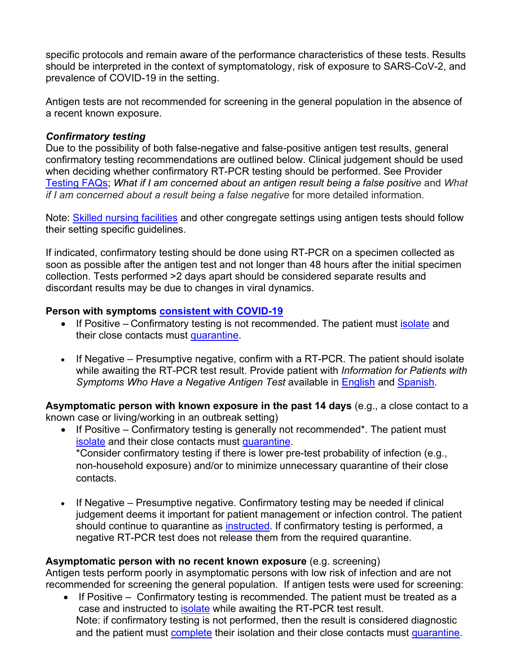specific protocols and remain aware of the performance characteristics of these tests. Results should be interpreted in the context of symptomatology, risk of exposure to SARS-CoV-2, and prevalence of COVID-19 in the setting.

Antigen tests are not recommended for screening in the general population in the absence of a recent known exposure.

### *Confirmatory testing*

Due to the possibility of both false-negative and false-positive antigen test results, general confirmatory testing recommendations are outlined below. Clinical judgement should be used when deciding whether confirmatory RT-PCR testing should be performed. See Provider [Testing FAQs;](http://publichealth.lacounty.gov/acd/ncorona2019/testing/#faq) *What if I am concerned about an antigen result being a false positive* and *What if I am concerned about a result being a false negative* for more detailed information.

Note: [Skilled nursing facilities](http://publichealth.lacounty.gov/acd/ncorona2019/healthfacilities/snf/antigen/) and other congregate settings using antigen tests should follow their setting specific guidelines.

If indicated, confirmatory testing should be done using RT-PCR on a specimen collected as soon as possible after the antigen test and not longer than 48 hours after the initial specimen collection. Tests performed >2 days apart should be considered separate results and discordant results may be due to changes in viral dynamics.

### **Person with symptoms [consistent with COVID-19](http://publichealth.lacounty.gov/acd/ncorona2019/clinicaldx/#presentation)**

- If Positive Confirmatory testing is not recommended. The patient must [isolate](http://publichealth.lacounty.gov/acd/ncorona2019/covidisolation/) and their close contacts must [quarantine.](http://publichealth.lacounty.gov/acd/ncorona2019/covidquarantine/)
- If Negative Presumptive negative, confirm with a RT-PCR. The patient should isolate while awaiting the RT-PCR test result. Provide patient with *Information for Patients with Symptoms Who Have a Negative Antigen Test* available in [English](http://publichealth.lacounty.gov/acd/docs/InformationForSymptomaticWithNegativeAntigenTest.pdf) and [Spanish.](http://publichealth.lacounty.gov/acd/docs/InformationForSymptomaticWithNegativeAntigenTestSpanish.pdf)

**Asymptomatic person with known exposure in the past 14 days** (e.g., a close contact to a known case or living/working in an outbreak setting)

- If Positive Confirmatory testing is generally not recommended\*. The patient must [isolate](http://publichealth.lacounty.gov/acd/ncorona2019/covidisolation/) and their close contacts must [quarantine.](http://publichealth.lacounty.gov/acd/ncorona2019/covidquarantine/) \*Consider confirmatory testing if there is lower pre-test probability of infection (e.g., non-household exposure) and/or to minimize unnecessary quarantine of their close contacts.
- If Negative Presumptive negative. Confirmatory testing may be needed if clinical judgement deems it important for patient management or infection control. The patient should continue to quarantine as [instructed.](http://publichealth.lacounty.gov/acd/ncorona2019/covidquarantine/) If confirmatory testing is performed, a negative RT-PCR test does not release them from the required quarantine.

### **Asymptomatic person with no recent known exposure** (e.g. screening)

Antigen tests perform poorly in asymptomatic persons with low risk of infection and are not recommended for screening the general population. If antigen tests were used for screening:

• If Positive – Confirmatory testing is recommended. The patient must be treated as a case and instructed to *isolate* while awaiting the RT-PCR test result. Note: if confirmatory testing is not performed, then the result is considered diagnostic and the patient must [complete](http://publichealth.lacounty.gov/acd/ncorona2019/covidisolation/#IsolationDuration) their isolation and their close contacts must [quarantine.](http://publichealth.lacounty.gov/acd/ncorona2019/covidquarantine/)